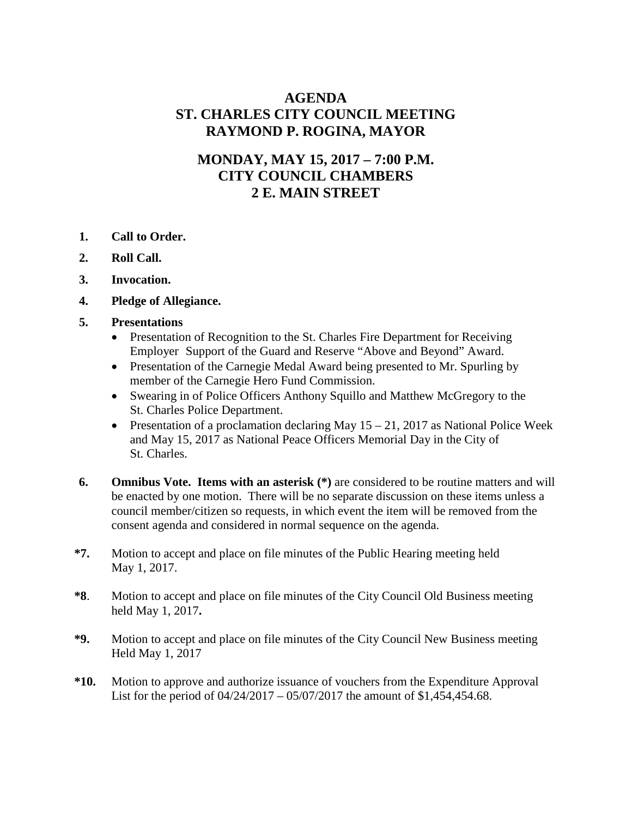## **AGENDA ST. CHARLES CITY COUNCIL MEETING RAYMOND P. ROGINA, MAYOR**

## **MONDAY, MAY 15, 2017 – 7:00 P.M. CITY COUNCIL CHAMBERS 2 E. MAIN STREET**

- **1. Call to Order.**
- **2. Roll Call.**
- **3. Invocation.**
- **4. Pledge of Allegiance.**
- **5. Presentations**
	- Presentation of Recognition to the St. Charles Fire Department for Receiving Employer Support of the Guard and Reserve "Above and Beyond" Award.
	- Presentation of the Carnegie Medal Award being presented to Mr. Spurling by member of the Carnegie Hero Fund Commission.
	- Swearing in of Police Officers Anthony Squillo and Matthew McGregory to the St. Charles Police Department.
	- Presentation of a proclamation declaring May  $15 21$ , 2017 as National Police Week and May 15, 2017 as National Peace Officers Memorial Day in the City of St. Charles.
- **6. Omnibus Vote. Items with an asterisk (\*)** are considered to be routine matters and will be enacted by one motion. There will be no separate discussion on these items unless a council member/citizen so requests, in which event the item will be removed from the consent agenda and considered in normal sequence on the agenda.
- **\*7.** Motion to accept and place on file minutes of the Public Hearing meeting held May 1, 2017.
- **\*8**. Motion to accept and place on file minutes of the City Council Old Business meeting held May 1, 2017**.**
- **\*9.** Motion to accept and place on file minutes of the City Council New Business meeting Held May 1, 2017
- **\*10.** Motion to approve and authorize issuance of vouchers from the Expenditure Approval List for the period of 04/24/2017 – 05/07/2017 the amount of \$1,454,454.68.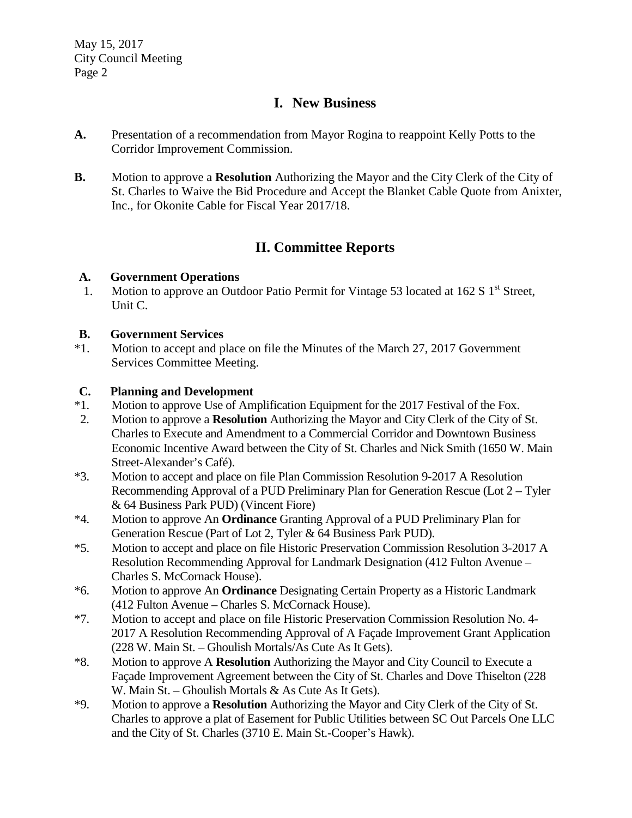## **I. New Business**

- **A.** Presentation of a recommendation from Mayor Rogina to reappoint Kelly Potts to the Corridor Improvement Commission.
- **B.** Motion to approve a **Resolution** Authorizing the Mayor and the City Clerk of the City of St. Charles to Waive the Bid Procedure and Accept the Blanket Cable Quote from Anixter, Inc., for Okonite Cable for Fiscal Year 2017/18.

# **II. Committee Reports**

## **A. Government Operations**

1. Motion to approve an Outdoor Patio Permit for Vintage 53 located at 162 S 1<sup>st</sup> Street. Unit C.

## **B. Government Services**

\*1. Motion to accept and place on file the Minutes of the March 27, 2017 Government Services Committee Meeting.

# **C. Planning and Development**<br>\*1. Motion to approve Use of Am

- Motion to approve Use of Amplification Equipment for the 2017 Festival of the Fox.
- 2. Motion to approve a **Resolution** Authorizing the Mayor and City Clerk of the City of St. Charles to Execute and Amendment to a Commercial Corridor and Downtown Business Economic Incentive Award between the City of St. Charles and Nick Smith (1650 W. Main Street-Alexander's Café).
- \*3. Motion to accept and place on file Plan Commission Resolution 9-2017 A Resolution Recommending Approval of a PUD Preliminary Plan for Generation Rescue (Lot 2 – Tyler & 64 Business Park PUD) (Vincent Fiore)
- \*4. Motion to approve An **Ordinance** Granting Approval of a PUD Preliminary Plan for Generation Rescue (Part of Lot 2, Tyler & 64 Business Park PUD).
- \*5. Motion to accept and place on file Historic Preservation Commission Resolution 3-2017 A Resolution Recommending Approval for Landmark Designation (412 Fulton Avenue – Charles S. McCornack House).
- \*6. Motion to approve An **Ordinance** Designating Certain Property as a Historic Landmark (412 Fulton Avenue – Charles S. McCornack House).
- \*7. Motion to accept and place on file Historic Preservation Commission Resolution No. 4- 2017 A Resolution Recommending Approval of A Façade Improvement Grant Application (228 W. Main St. – Ghoulish Mortals/As Cute As It Gets).
- \*8. Motion to approve A **Resolution** Authorizing the Mayor and City Council to Execute a Façade Improvement Agreement between the City of St. Charles and Dove Thiselton (228 W. Main St. – Ghoulish Mortals & As Cute As It Gets).
- \*9. Motion to approve a **Resolution** Authorizing the Mayor and City Clerk of the City of St. Charles to approve a plat of Easement for Public Utilities between SC Out Parcels One LLC and the City of St. Charles (3710 E. Main St.-Cooper's Hawk).